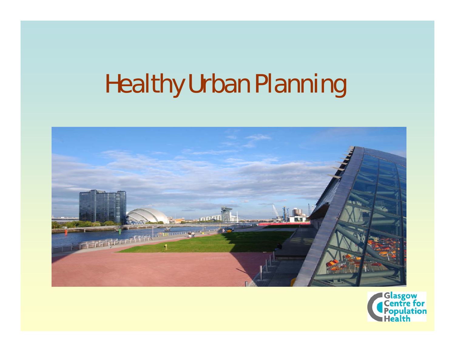# Healthy Urban Planning



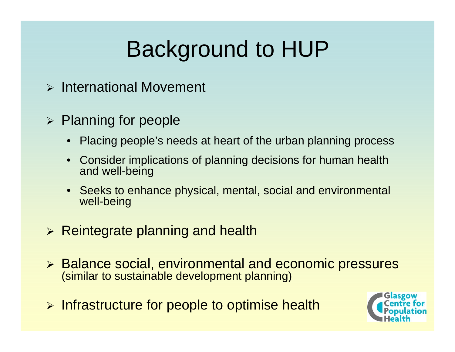# Background to HUP

¾ International Movement

#### ¾ Planning for people

- $\bullet$ Placing people's needs at heart of the urban planning process
- • Consider implications of planning decisions for human health and well-being
- Seeks to enhance physical, mental, social and environmental well-being
- ¾ Reintegrate planning and health
- ¾ Balance social, environmental and economic pressures (similar to sustainable development planning)
- ¾ Infrastructure for people to optimise health

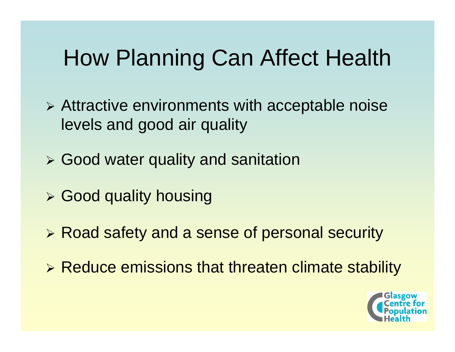# How Planning Can Affect Health

- ¾ Attractive environments with acceptable noise levels and good air quality
- ¾ Good water quality and sanitation
- ¾ Good quality housing
- ¾ Road safety and a sense of personal security
- ¾ Reduce emissions that threaten climate stability

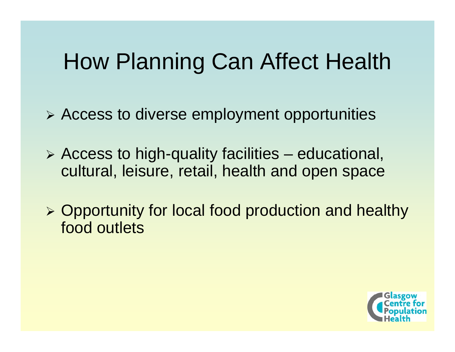## How Planning Can Affect Health

¾ Access to diverse employment opportunities

- ¾ Access to high-quality facilities educational, cultural, leisure, retail, health and open space
- ¾ Opportunity for local food production and healthy food outlets

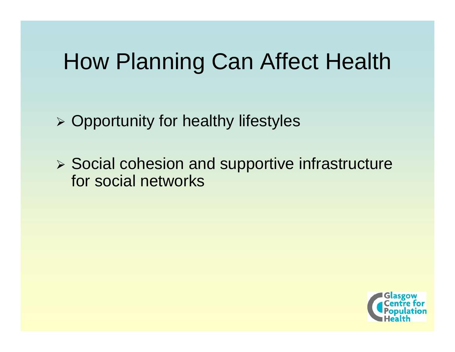## How Planning Can Affect Health

¾ Opportunity for healthy lifestyles

¾ Social cohesion and supportive infrastructure for social networks

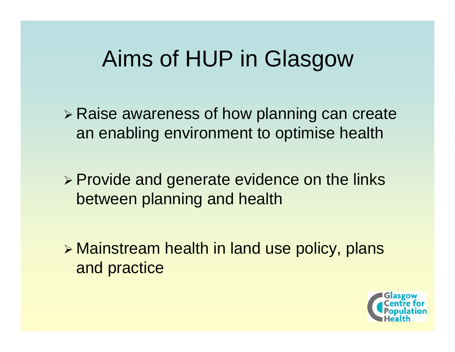## Aims of HUP in Glasgow

- ¾ Raise awareness of how planning can create an enabling environment to optimise health
- ¾ Provide and generate evidence on the links between planning and health

¾ Mainstream health in land use policy, plans and practice

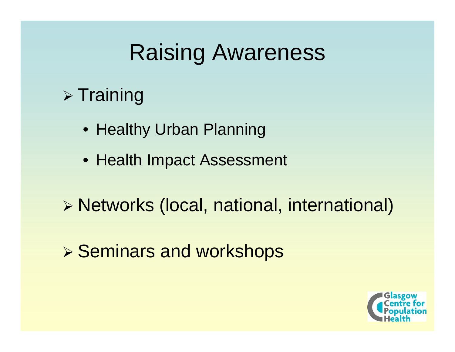### Raising Awareness

### $\triangleright$  Training

- Healthy Urban Planning
- Health Impact Assessment
- ¾ Networks (local, national, international)
- ¾ Seminars and workshops

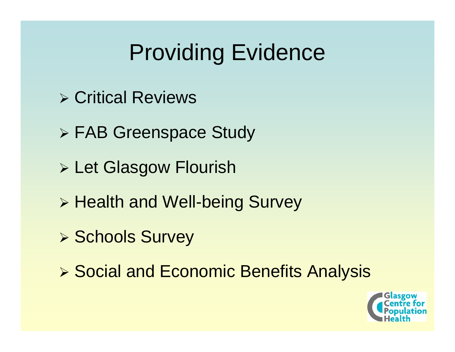# Providing Evidence

- ¾ Critical Reviews
- ¾ FAB Greenspace Study
- ¾ Let Glasgow Flourish
- ¾ Health and Well-being Survey
- ¾ Schools Survey
- ¾ Social and Economic Benefits Analysis

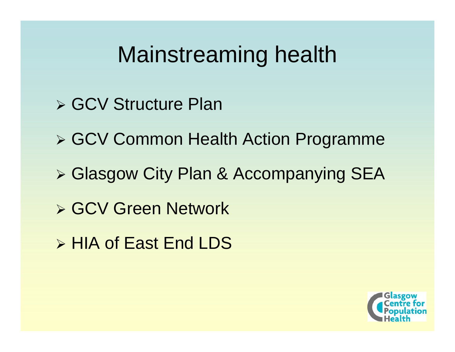### Mainstreaming health

- ¾ GCV Structure Plan
- ¾ GCV Common Health Action Programme
- ¾ Glasgow City Plan & Accompanying SEA
- ¾ GCV Green Network
- ¾ HIA of East End LDS

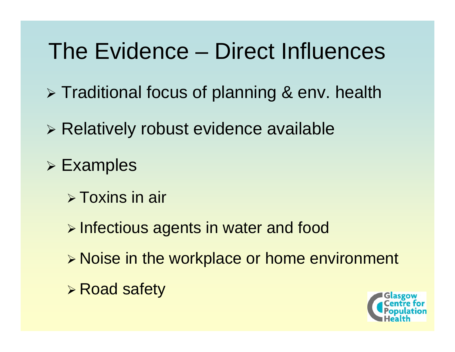## The Evidence – Direct Influences

¾ Traditional focus of planning & env. health

- ¾ Relatively robust evidence available
- ¾ Examples
	- ¾ Toxins in air
	- ¾ Infectious agents in water and food
	- ¾ Noise in the workplace or home environment
	- ¾ Road safety

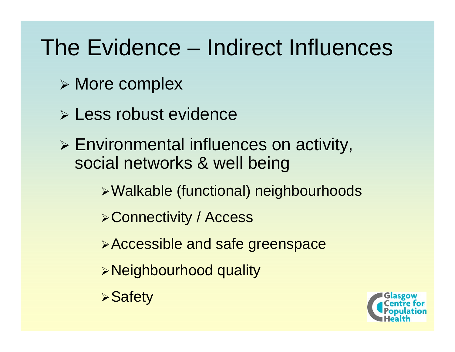### The Evidence – Indirect Influences

- ¾ More complex
- ¾ Less robust evidence
- ¾ Environmental influences on activity, social networks & well being
	- <sup>¾</sup>Walkable (functional) neighbourhoods
	- <sup>¾</sup>Connectivity / Access
	- <sup>¾</sup>Accessible and safe greenspace
	- <sup>¾</sup>Neighbourhood quality
	- **≻Safety**

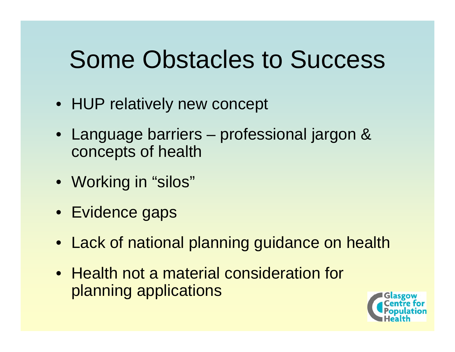# Some Obstacles to Success

- HUP relatively new concept
- Language barriers professional jargon & concepts of health
- Working in "silos"
- Evidence gaps
- Lack of national planning guidance on health
- Health not a material consideration for planning applications

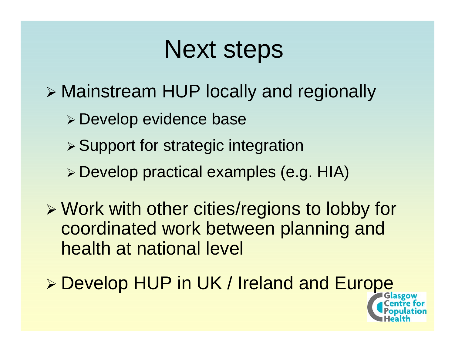# Next steps

¾ Mainstream HUP locally and regionally

- ¾ Develop evidence base
- ¾ Support for strategic integration
- ¾ Develop practical examples (e.g. HIA)
- ¾ Work with other cities/regions to lobby for coordinated work between planning and health at national level
- ¾ Develop HUP in UK / Ireland and Europe